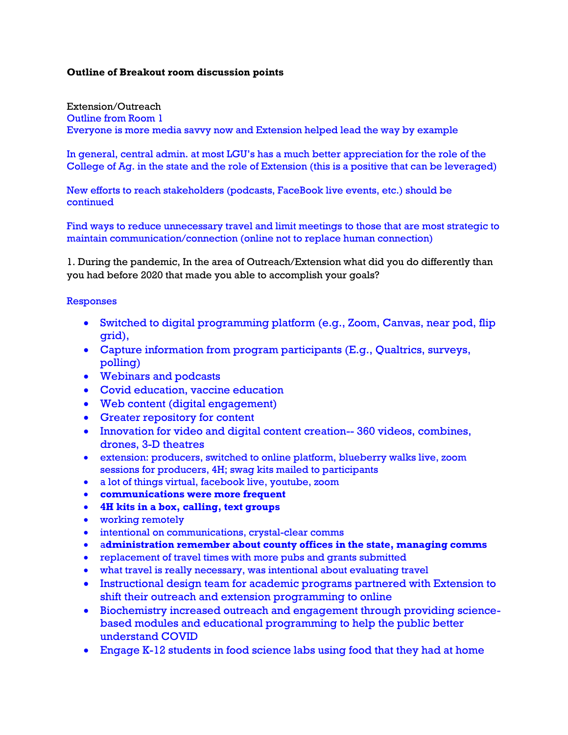## **Outline of Breakout room discussion points**

Extension/Outreach Outline from Room 1 Everyone is more media savvy now and Extension helped lead the way by example

In general, central admin. at most LGU's has a much better appreciation for the role of the College of Ag. in the state and the role of Extension (this is a positive that can be leveraged)

New efforts to reach stakeholders (podcasts, FaceBook live events, etc.) should be continued

Find ways to reduce unnecessary travel and limit meetings to those that are most strategic to maintain communication/connection (online not to replace human connection)

1. During the pandemic, In the area of Outreach/Extension what did you do differently than you had before 2020 that made you able to accomplish your goals?

## Responses

- Switched to digital programming platform (e.g., Zoom, Canvas, near pod, flip grid),
- Capture information from program participants (E.g., Qualtrics, surveys, polling)
- Webinars and podcasts
- Covid education, vaccine education
- Web content (digital engagement)
- Greater repository for content
- Innovation for video and digital content creation--360 videos, combines, drones, 3-D theatres
- extension: producers, switched to online platform, blueberry walks live, zoom sessions for producers, 4H; swag kits mailed to participants
- a lot of things virtual, facebook live, youtube, zoom
- **communications were more frequent**
- **4H kits in a box, calling, text groups**
- working remotely
- $\bullet$  intentional on communications, crystal-clear comms
- a**dministration remember about county offices in the state, managing comms**
- replacement of travel times with more pubs and grants submitted
- what travel is really necessary, was intentional about evaluating travel
- Instructional design team for academic programs partnered with Extension to shift their outreach and extension programming to online
- Biochemistry increased outreach and engagement through providing sciencebased modules and educational programming to help the public better understand COVID
- Engage K-12 students in food science labs using food that they had at home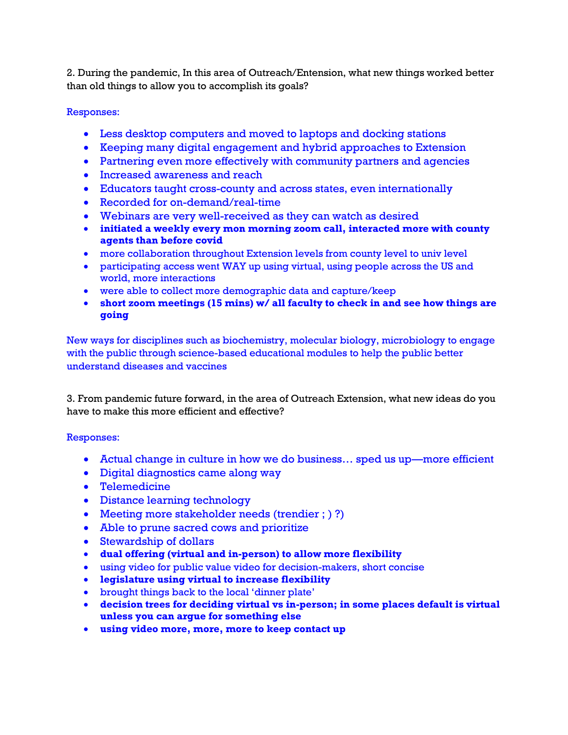2. During the pandemic, In this area of Outreach/Entension, what new things worked better than old things to allow you to accomplish its goals?

## Responses:

- Less desktop computers and moved to laptops and docking stations
- Keeping many digital engagement and hybrid approaches to Extension
- Partnering even more effectively with community partners and agencies
- Increased awareness and reach
- Educators taught cross-county and across states, even internationally
- Recorded for on-demand/real-time
- Webinars are very well-received as they can watch as desired
- **initiated a weekly every mon morning zoom call, interacted more with county agents than before covid**
- more collaboration throughout Extension levels from county level to univ level
- participating access went WAY up using virtual, using people across the US and world, more interactions
- were able to collect more demographic data and capture/keep
- **short zoom meetings (15 mins) w/ all faculty to check in and see how things are going**

New ways for disciplines such as biochemistry, molecular biology, microbiology to engage with the public through science-based educational modules to help the public better understand diseases and vaccines

3. From pandemic future forward, in the area of Outreach Extension, what new ideas do you have to make this more efficient and effective?

## Responses:

- Actual change in culture in how we do business… sped us up—more efficient
- Digital diagnostics came along way
- Telemedicine
- Distance learning technology
- Meeting more stakeholder needs (trendier ; ) ?)
- Able to prune sacred cows and prioritize
- Stewardship of dollars
- **dual offering (virtual and in-person) to allow more flexibility**
- using video for public value video for decision-makers, short concise
- **legislature using virtual to increase flexibility**
- brought things back to the local 'dinner plate'
- **decision trees for deciding virtual vs in-person; in some places default is virtual unless you can argue for something else**
- **using video more, more, more to keep contact up**